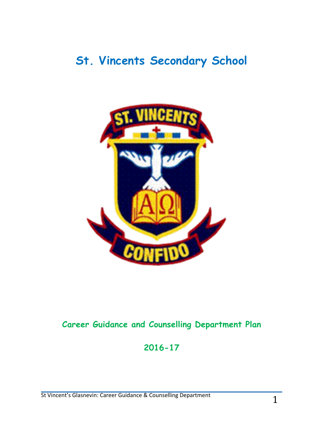# **St. Vincents Secondary School**



# **Career Guidance and Counselling Department Plan**

# **2016-17**

St Vincent's Glasnevin: Career Guidance & Counselling Department 1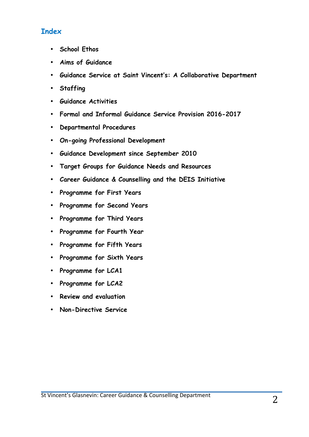# **Index**

- **School Ethos**
- **Aims of Guidance**
- **Guidance Service at Saint Vincent's: A Collaborative Department**
- **Staffing**
- **Guidance Activities**
- **Formal and Informal Guidance Service Provision 2016-2017**
- **Departmental Procedures**
- **On-going Professional Development**
- **Guidance Development since September 2010**
- **Target Groups for Guidance Needs and Resources**
- **Career Guidance & Counselling and the DEIS Initiative**
- **Programme for First Years**
- **Programme for Second Years**
- **Programme for Third Years**
- **Programme for Fourth Year**
- **Programme for Fifth Years**
- **Programme for Sixth Years**
- **Programme for LCA1**
- **Programme for LCA2**
- **Review and evaluation**
- **Non-Directive Service**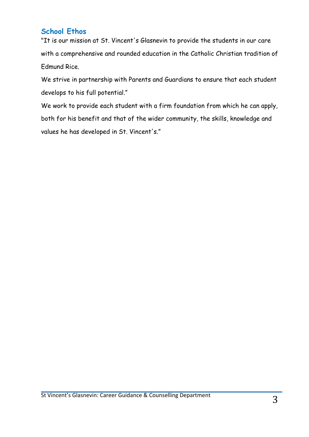# **School Ethos**

"It is our mission at St. Vincent's Glasnevin to provide the students in our care with a comprehensive and rounded education in the Catholic Christian tradition of Edmund Rice.

We strive in partnership with Parents and Guardians to ensure that each student develops to his full potential."

We work to provide each student with a firm foundation from which he can apply, both for his benefit and that of the wider community, the skills, knowledge and values he has developed in St. Vincent's."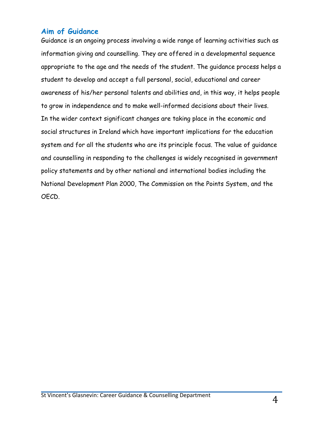# **Aim of Guidance**

Guidance is an ongoing process involving a wide range of learning activities such as information giving and counselling. They are offered in a developmental sequence appropriate to the age and the needs of the student. The guidance process helps a student to develop and accept a full personal, social, educational and career awareness of his/her personal talents and abilities and, in this way, it helps people to grow in independence and to make well-informed decisions about their lives. In the wider context significant changes are taking place in the economic and social structures in Ireland which have important implications for the education system and for all the students who are its principle focus. The value of guidance and counselling in responding to the challenges is widely recognised in government policy statements and by other national and international bodies including the National Development Plan 2000, The Commission on the Points System, and the OECD.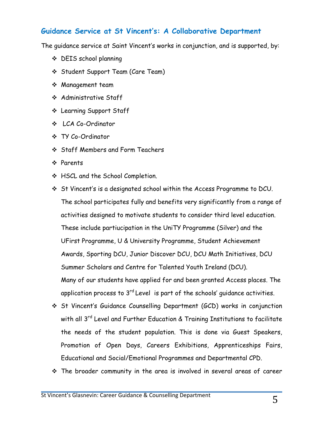## **Guidance Service at St Vincent's: A Collaborative Department**

The guidance service at Saint Vincent's works in conjunction, and is supported, by:

- v DEIS school planning
- v Student Support Team (Care Team)
- v Management team
- v Administrative Staff
- v Learning Support Staff
- v LCA Co-Ordinator
- v TY Co-Ordinator
- v Staff Members and Form Teachers
- v Parents
- v HSCL and the School Completion.
- v St Vincent's is a designated school within the Access Programme to DCU. The school participates fully and benefits very significantly from a range of activities designed to motivate students to consider third level education. These include partiucipation in the UniTY Programme (Silver) and the UFirst Programme, U & University Programme, Student Achievement Awards, Sporting DCU, Junior Discover DCU, DCU Math Initiatives, DCU Summer Scholars and Centre for Talented Youth Ireland (DCU). Many of our students have applied for and been granted Access places. The application process to  $3<sup>rd</sup>$  Level is part of the schools' quidance activities.
- v St Vincent's Guidance Counselling Department (GCD) works in conjunction with all 3<sup>rd</sup> Level and Further Education & Training Institutions to facilitate the needs of the student population. This is done via Guest Speakers, Promotion of Open Days, Careers Exhibitions, Apprenticeships Fairs, Educational and Social/Emotional Programmes and Departmental CPD.
- $\cdot \cdot$  The broader community in the area is involved in several areas of career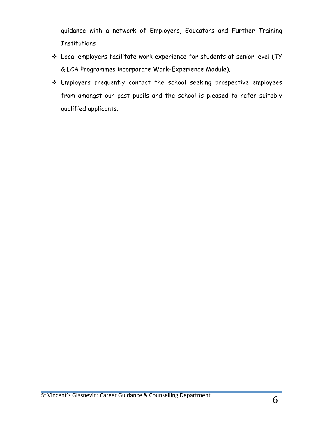guidance with a network of Employers, Educators and Further Training **Institutions** 

- v Local employers facilitate work experience for students at senior level (TY & LCA Programmes incorporate Work-Experience Module).
- \* Employers frequently contact the school seeking prospective employees from amongst our past pupils and the school is pleased to refer suitably qualified applicants.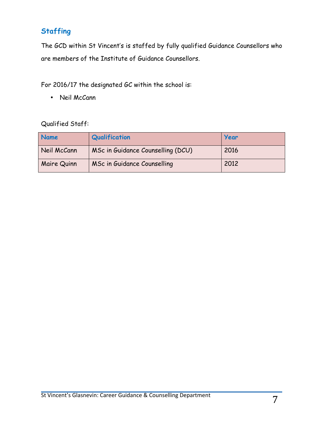# **Staffing**

The GCD within St Vincent's is staffed by fully qualified Guidance Counsellors who are members of the Institute of Guidance Counsellors.

For 2016/17 the designated GC within the school is:

• Neil McCann

## Qualified Staff:

| Name        | Qualification                     | Year |
|-------------|-----------------------------------|------|
| Neil McCann | MSc in Guidance Counselling (DCU) | 2016 |
| Maire Quinn | MSc in Guidance Counselling       | 2012 |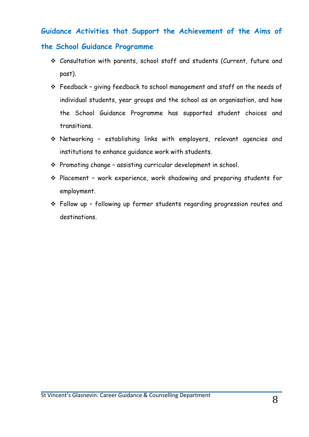## **Guidance Activities that Support the Achievement of the Aims of**

#### **the School Guidance Programme**

- v Consultation with parents, school staff and students (Current, future and past).
- $\div$  Feedback giving feedback to school management and staff on the needs of individual students, year groups and the school as an organisation, and how the School Guidance Programme has supported student choices and transitions.
- $\cdot$  Networking establishing links with employers, relevant agencies and institutions to enhance guidance work with students.
- $\cdot$  Promoting change assisting curricular development in school.
- \* Placement work experience, work shadowing and preparing students for employment.
- \* Follow up following up former students regarding progression routes and destinations.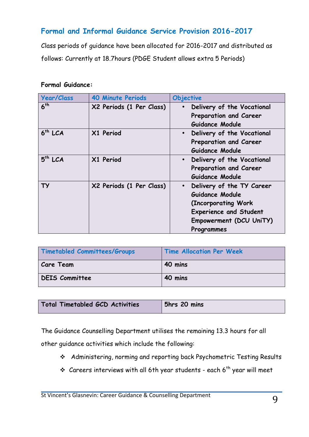# **Formal and Informal Guidance Service Provision 2016-2017**

Class periods of guidance have been allocated for 2016-2017 and distributed as follows: Currently at 18.7hours (PDGE Student allows extra 5 Periods)

#### **Formal Guidance:**

| <b>Year/Class</b> | <b>40 Minute Periods</b> | Objective                                                                                                                                                  |
|-------------------|--------------------------|------------------------------------------------------------------------------------------------------------------------------------------------------------|
| 6 <sup>th</sup>   | X2 Periods (1 Per Class) | Delivery of the Vocational<br>$\bullet$<br>Preparation and Career<br>Guidance Module                                                                       |
| $6th$ LCA         | X1 Period                | Delivery of the Vocational<br>$\bullet$<br>Preparation and Career<br>Guidance Module                                                                       |
| $5th$ LCA         | X1 Period                | Delivery of the Vocational<br>$\bullet$<br>Preparation and Career<br>Guidance Module                                                                       |
| ТУ                | X2 Periods (1 Per Class) | Delivery of the TY Career<br>$\bullet$<br>Guidance Module<br>(Incorporating Work<br><b>Experience and Student</b><br>Empowerment (DCU UniTY)<br>Programmes |

| Timetabled Committees/Groups | <b>Time Allocation Per Week</b> |
|------------------------------|---------------------------------|
| <b>Care Team</b>             | 40 mins                         |
| DEIS Committee               | 40 mins                         |

| Total Timetabled GCD Activities | 5hrs 20 mins |
|---------------------------------|--------------|
|                                 |              |

The Guidance Counselling Department utilises the remaining 13.3 hours for all

other guidance activities which include the following:

- v Administering, norming and reporting back Psychometric Testing Results
- $\cdot$  Careers interviews with all 6th year students each 6<sup>th</sup> year will meet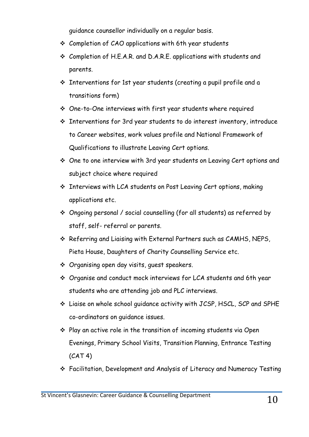guidance counsellor individually on a regular basis.

- $\div$  Completion of CAO applications with 6th year students
- v Completion of H.E.A.R. and D.A.R.E. applications with students and parents.
- \* Interventions for 1st year students (creating a pupil profile and a transitions form)
- $\cdot$  One-to-One interviews with first year students where required
- $\cdot$  Interventions for 3rd year students to do interest inventory, introduce to Career websites, work values profile and National Framework of Qualifications to illustrate Leaving Cert options.
- \* One to one interview with 3rd year students on Leaving Cert options and subject choice where required
- $\cdot$  Interviews with LCA students on Post Leaving Cert options, making applications etc.
- $\div$  Ongoing personal / social counselling (for all students) as referred by staff, self- referral or parents.
- \* Referring and Liaising with External Partners such as CAMHS, NEPS, Pieta House, Daughters of Charity Counselling Service etc.
- v Organising open day visits, guest speakers.
- \* Organise and conduct mock interviews for LCA students and 6th year students who are attending job and PLC interviews.
- v Liaise on whole school guidance activity with JCSP, HSCL, SCP and SPHE co-ordinators on guidance issues.
- $\cdot$  Play an active role in the transition of incoming students via Open Evenings, Primary School Visits, Transition Planning, Entrance Testing  $(CAT 4)$
- v Facilitation, Development and Analysis of Literacy and Numeracy Testing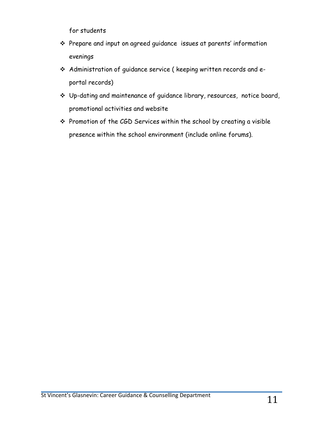for students

- v Prepare and input on agreed guidance issues at parents' information evenings
- \* Administration of guidance service ( keeping written records and eportal records)
- v Up-dating and maintenance of guidance library, resources, notice board, promotional activities and website
- \* Promotion of the CGD Services within the school by creating a visible presence within the school environment (include online forums).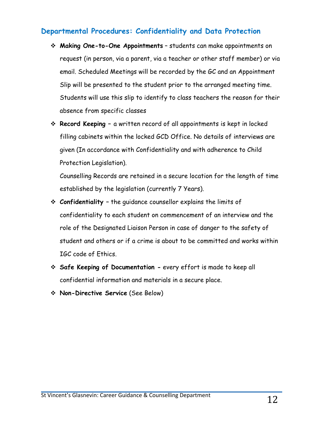## **Departmental Procedures: Confidentiality and Data Protection**

- v **Making One-to-One Appointments** students can make appointments on request (in person, via a parent, via a teacher or other staff member) or via email. Scheduled Meetings will be recorded by the GC and an Appointment Slip will be presented to the student prior to the arranged meeting time. Students will use this slip to identify to class teachers the reason for their absence from specific classes
- **Execord Keeping** − a written record of all appointments is kept in locked filling cabinets within the locked GCD Office. No details of interviews are given (In accordance with Confidentiality and with adherence to Child Protection Legislation).

Counselling Records are retained in a secure location for the length of time established by the legislation (currently 7 Years).

- v **Confidentiality –** the guidance counsellor explains the limits of confidentiality to each student on commencement of an interview and the role of the Designated Liaison Person in case of danger to the safety of student and others or if a crime is about to be committed and works within IGC code of Ethics.
- **Example 2 Safe Keeping of Documentation -** every effort is made to keep all confidential information and materials in a secure place.
- v **Non-Directive Service** (See Below)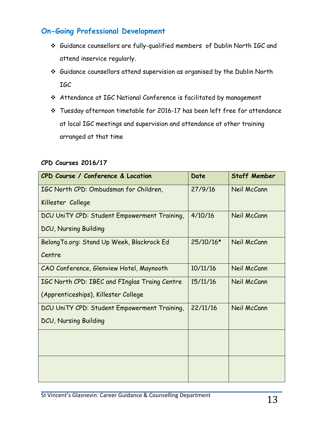# **On-Going Professional Development**

- v Guidance counsellors are fully-qualified members of Dublin North IGC and attend inservice regularly.
- v Guidance counsellors attend supervision as organised by the Dublin North IGC
- v Attendance at IGC National Conference is facilitated by management
- v Tuesday afternoon timetable for 2016-17 has been left free for attendance at local IGC meetings and supervision and attendance at other training arranged at that time

|  | CPD Courses 2016/17 |
|--|---------------------|
|  |                     |

| CPD Course / Conference & Location            | Date        | <b>Staff Member</b> |
|-----------------------------------------------|-------------|---------------------|
| IGC North CPD: Ombudsman for Children,        | 27/9/16     | Neil McCann         |
| Killester College                             |             |                     |
| DCU UniTY CPD: Student Empowerment Training,  | 4/10/16     | Neil McCann         |
| <b>DCU, Nursing Building</b>                  |             |                     |
| Belong To.org: Stand Up Week, Blackrock Ed    | $25/10/16*$ | Neil McCann         |
| Centre                                        |             |                     |
| CAO Conference, Glenview Hotel, Maynooth      | 10/11/16    | Neil McCann         |
| IGC North CPD: IBEC and FInglas Traing Centre | 15/11/16    | Neil McCann         |
| (Apprenticeships), Killester College          |             |                     |
| DCU UniTY CPD: Student Empowerment Training,  | 22/11/16    | Neil McCann         |
| DCU, Nursing Building                         |             |                     |
|                                               |             |                     |
|                                               |             |                     |
|                                               |             |                     |
|                                               |             |                     |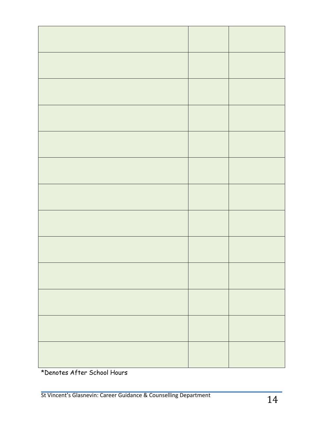\*Denotes After School Hours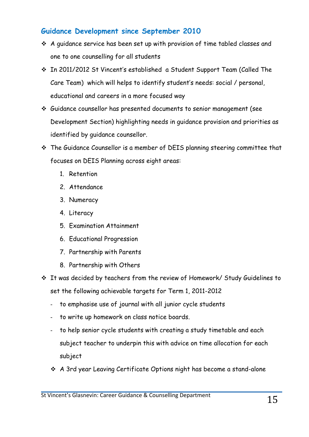# **Guidance Development since September 2010**

- $\cdot$  A guidance service has been set up with provision of time tabled classes and one to one counselling for all students
- v In 2011/2012 St Vincent's established a Student Support Team (Called The Care Team) which will helps to identify student's needs: social / personal, educational and careers in a more focused way
- v Guidance counsellor has presented documents to senior management (see Development Section) highlighting needs in guidance provision and priorities as identified by guidance counsellor.
- \* The Guidance Counsellor is a member of DEIS planning steering committee that focuses on DEIS Planning across eight areas:
	- 1. Retention
	- 2. Attendance
	- 3. Numeracy
	- 4. Literacy
	- 5. Examination Attainment
	- 6. Educational Progression
	- 7. Partnership with Parents
	- 8. Partnership with Others
- v It was decided by teachers from the review of Homework/ Study Guidelines to set the following achievable targets for Term 1, 2011-2012
	- to emphasise use of journal with all junior cycle students
	- to write up homework on class notice boards.
	- to help senior cycle students with creating a study timetable and each subject teacher to underpin this with advice on time allocation for each subject
	- \* A 3rd year Leaving Certificate Options night has become a stand-alone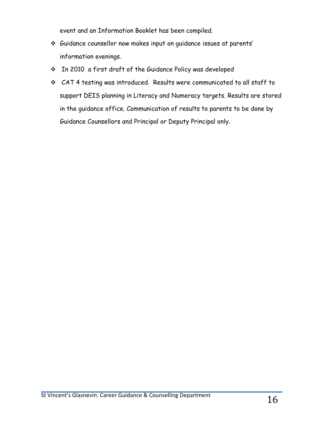event and an Information Booklet has been compiled.

- v Guidance counsellor now makes input on guidance issues at parents' information evenings.
- \* In 2010 a first draft of the Guidance Policy was developed
- v CAT 4 testing was introduced. Results were communicated to all staff to support DEIS planning in Literacy and Numeracy targets. Results are stored in the guidance office. Communication of results to parents to be done by Guidance Counsellors and Principal or Deputy Principal only.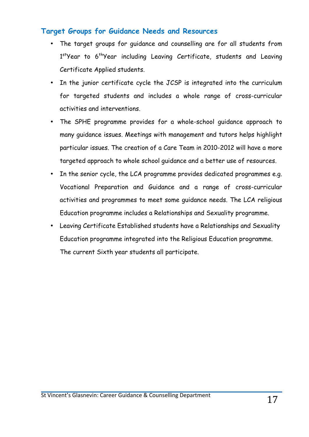## **Target Groups for Guidance Needs and Resources**

- The target groups for guidance and counselling are for all students from 1<sup>st</sup>Year to 6<sup>th</sup>Year including Leaving Certificate, students and Leaving Certificate Applied students.
- In the junior certificate cycle the JCSP is integrated into the curriculum for targeted students and includes a whole range of cross-curricular activities and interventions.
- The SPHE programme provides for a whole-school guidance approach to many guidance issues. Meetings with management and tutors helps highlight particular issues. The creation of a Care Team in 2010-2012 will have a more targeted approach to whole school guidance and a better use of resources.
- In the senior cycle, the LCA programme provides dedicated programmes e.g. Vocational Preparation and Guidance and a range of cross-curricular activities and programmes to meet some guidance needs. The LCA religious Education programme includes a Relationships and Sexuality programme.
- Leaving Certificate Established students have a Relationships and Sexuality Education programme integrated into the Religious Education programme. The current Sixth year students all participate.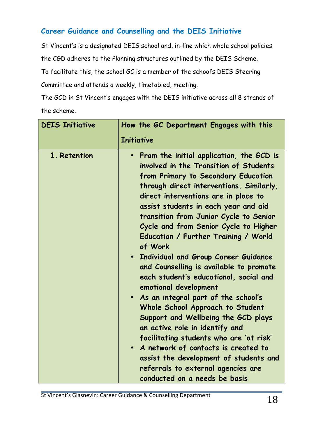# **Career Guidance and Counselling and the DEIS Initiative**

St Vincent's is a designated DEIS school and, in-line which whole school policies the CGD adheres to the Planning structures outlined by the DEIS Scheme.

To facilitate this, the school GC is a member of the school's DEIS Steering Committee and attends a weekly, timetabled, meeting.

The GCD in St Vincent's engages with the DEIS initiative across all 8 strands of the scheme.

| <b>DEIS Initiative</b> | How the GC Department Engages with this<br><b>Initiative</b>                                                                                                                                                                                                                                                                                                                                                                                                                                                                                                                                                                                                                                                                                                                                                                                                                                                              |
|------------------------|---------------------------------------------------------------------------------------------------------------------------------------------------------------------------------------------------------------------------------------------------------------------------------------------------------------------------------------------------------------------------------------------------------------------------------------------------------------------------------------------------------------------------------------------------------------------------------------------------------------------------------------------------------------------------------------------------------------------------------------------------------------------------------------------------------------------------------------------------------------------------------------------------------------------------|
| 1. Retention           | From the initial application, the GCD is<br>$\bullet$<br>involved in the Transition of Students<br>from Primary to Secondary Education<br>through direct interventions. Similarly,<br>direct interventions are in place to<br>assist students in each year and aid<br>transition from Junior Cycle to Senior<br>Cycle and from Senior Cycle to Higher<br>Education / Further Training / World<br>of Work<br>Individual and Group Career Guidance<br>and Counselling is available to promote<br>each student's educational, social and<br>emotional development<br>. As an integral part of the school's<br>Whole School Approach to Student<br>Support and Wellbeing the GCD plays<br>an active role in identify and<br>facilitating students who are 'at risk'<br>• A network of contacts is created to<br>assist the development of students and<br>referrals to external agencies are<br>conducted on a needs be basis |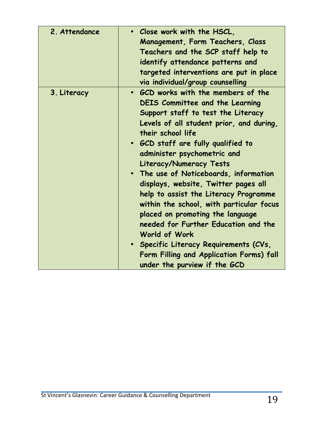| 2. Attendance | . Close work with the HSCL,<br><b>Management, Form Teachers, Class</b><br>Teachers and the SCP staff help to<br>identify attendance patterns and<br>targeted interventions are put in place<br>via individual/group counselling                                                                                                                                                                                                                                                                                                                                                                                                                                                |
|---------------|--------------------------------------------------------------------------------------------------------------------------------------------------------------------------------------------------------------------------------------------------------------------------------------------------------------------------------------------------------------------------------------------------------------------------------------------------------------------------------------------------------------------------------------------------------------------------------------------------------------------------------------------------------------------------------|
| 3. Literacy   | • GCD works with the members of the<br><b>DEIS Committee and the Learning</b><br>Support staff to test the Literacy<br>Levels of all student prior, and during,<br>their school life<br>• GCD staff are fully qualified to<br>administer psychometric and<br>Literacy/Numeracy Tests<br>• The use of Noticeboards, information<br>displays, website, Twitter pages all<br>help to assist the Literacy Programme<br>within the school, with particular focus<br>placed on promoting the language<br>needed for Further Education and the<br>World of Work<br>· Specific Literacy Requirements (CVs,<br>Form Filling and Application Forms) fall<br>under the purview if the GCD |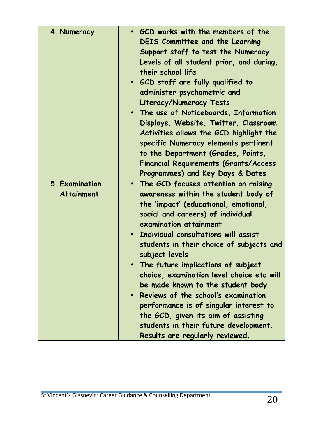| 4. Numeracy                         | GCD works with the members of the<br><b>DEIS Committee and the Learning</b><br>Support staff to test the Numeracy<br>Levels of all student prior, and during,<br>their school life<br>• GCD staff are fully qualified to<br>administer psychometric and<br><b>Literacy/Numeracy Tests</b><br>. The use of Noticeboards, Information<br>Displays, Website, Twitter, Classroom<br>Activities allows the GCD highlight the<br>specific Numeracy elements pertinent<br>to the Department (Grades, Points,<br><b>Financial Requirements (Grants/Access</b><br>Programmes) and Key Days & Dates                                  |
|-------------------------------------|----------------------------------------------------------------------------------------------------------------------------------------------------------------------------------------------------------------------------------------------------------------------------------------------------------------------------------------------------------------------------------------------------------------------------------------------------------------------------------------------------------------------------------------------------------------------------------------------------------------------------|
| 5. Examination<br><b>Attainment</b> | • The GCD focuses attention on raising<br>awareness within the student body of<br>the 'impact' (educational, emotional,<br>social and careers) of individual<br>examination attainment<br>Individual consultations will assist<br>students in their choice of subjects and<br>subject levels<br>• The future implications of subject<br>choice, examination level choice etc will<br>be made known to the student body<br>Reviews of the school's examination<br>performance is of singular interest to<br>the GCD, given its aim of assisting<br>students in their future development.<br>Results are regularly reviewed. |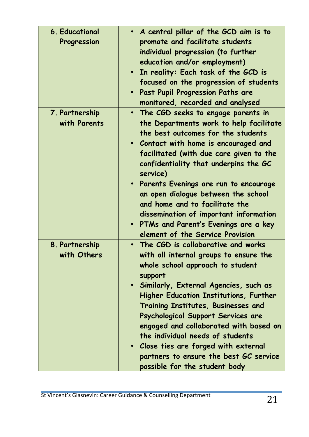| <b>6. Educational</b><br>Progression | • A central pillar of the GCD aim is to<br>promote and facilitate students<br>individual progression (to further<br>education and/or employment)<br>In reality: Each task of the GCD is<br>focused on the progression of students<br>Past Pupil Progression Paths are<br>$\bullet$                                                                                                                                                                                                                                                                      |
|--------------------------------------|---------------------------------------------------------------------------------------------------------------------------------------------------------------------------------------------------------------------------------------------------------------------------------------------------------------------------------------------------------------------------------------------------------------------------------------------------------------------------------------------------------------------------------------------------------|
| 7. Partnership<br>with Parents       | monitored, recorded and analysed<br>The CGD seeks to engage parents in<br>$\bullet$<br>the Departments work to help facilitate<br>the best outcomes for the students<br>• Contact with home is encouraged and<br>facilitated (with due care given to the<br>confidentiality that underpins the GC<br>service)<br>Parents Evenings are run to encourage<br>$\bullet$<br>an open dialogue between the school<br>and home and to facilitate the<br>dissemination of important information<br>PTMs and Parent's Evenings are a key<br>$\bullet$             |
| 8. Partnership<br>with Others        | element of the Service Provision<br>The CGD is collaborative and works<br>$\bullet$<br>with all internal groups to ensure the<br>whole school approach to student<br>support<br>· Similarly, External Agencies, such as<br><b>Higher Education Institutions, Further</b><br>Training Institutes, Businesses and<br>Psychological Support Services are<br>engaged and collaborated with based on<br>the individual needs of students<br>• Close ties are forged with external<br>partners to ensure the best GC service<br>possible for the student body |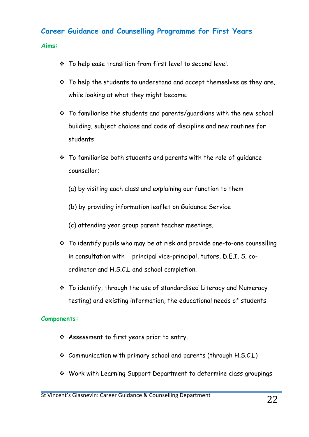# **Career Guidance and Counselling Programme for First Years**

**Aims:**

- $\cdot$  To help ease transition from first level to second level.
- $\cdot$  To help the students to understand and accept themselves as they are, while looking at what they might become.
- $\cdot$  To familiarise the students and parents/quardians with the new school building, subject choices and code of discipline and new routines for students
- $\div$  To familiarise both students and parents with the role of quidance counsellor;
	- (a) by visiting each class and explaining our function to them
	- (b) by providing information leaflet on Guidance Service
	- (c) attending year group parent teacher meetings.
- $\cdot$  To identify pupils who may be at risk and provide one-to-one counselling in consultation with principal vice-principal, tutors, D.E.I. S. coordinator and H.S.C.L and school completion.
- $\cdot$  To identify, through the use of standardised Literacy and Numeracy testing) and existing information, the educational needs of students

#### **Components:**

- \* Assessment to first years prior to entry.
- $\div$  Communication with primary school and parents (through H.S.C.L)
- \* Work with Learning Support Department to determine class groupings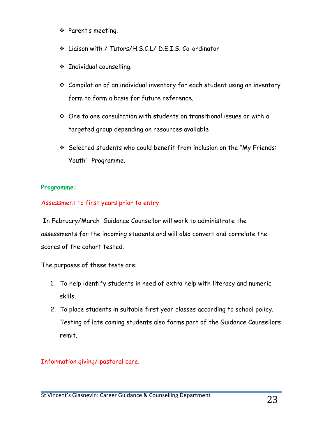- \* Parent's meeting.
- v Liaison with / Tutors/H.S.C.L/ D.E.I.S. Co-ordinator
- v Individual counselling.
- $\cdot$  Compilation of an individual inventory for each student using an inventory form to form a basis for future reference.
- $\div$  One to one consultation with students on transitional issues or with a targeted group depending on resources available
- \* Selected students who could benefit from inclusion on the "My Friends: Youth" Programme.

## **Programme:**

## Assessment to first years prior to entry

In February/March Guidance Counsellor will work to administrate the assessments for the incoming students and will also convert and correlate the scores of the cohort tested.

The purposes of these tests are:

- 1. To help identify students in need of extra help with literacy and numeric skills.
- 2. To place students in suitable first year classes according to school policy. Testing of late coming students also forms part of the Guidance Counsellors remit.

Information giving/ pastoral care.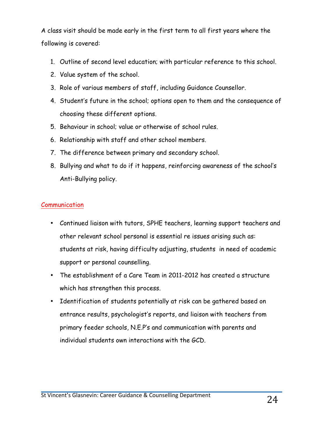A class visit should be made early in the first term to all first years where the following is covered:

- 1. Outline of second level education; with particular reference to this school.
- 2. Value system of the school.
- 3. Role of various members of staff, including Guidance Counsellor.
- 4. Student's future in the school; options open to them and the consequence of choosing these different options.
- 5. Behaviour in school; value or otherwise of school rules.
- 6. Relationship with staff and other school members.
- 7. The difference between primary and secondary school.
- 8. Bullying and what to do if it happens, reinforcing awareness of the school's Anti-Bullying policy.

## Communication

- Continued liaison with tutors, SPHE teachers, learning support teachers and other relevant school personal is essential re issues arising such as: students at risk, having difficulty adjusting, students in need of academic support or personal counselling.
- The establishment of a Care Team in 2011-2012 has created a structure which has strengthen this process.
- Identification of students potentially at risk can be gathered based on entrance results, psychologist's reports, and liaison with teachers from primary feeder schools, N.E.P's and communication with parents and individual students own interactions with the GCD.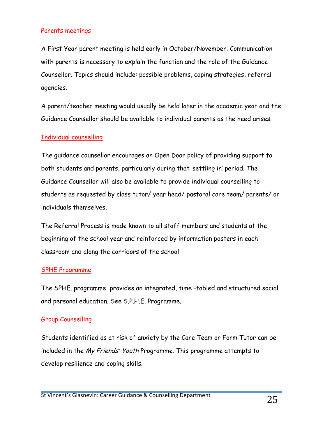#### Parents meetings

A First Year parent meeting is held early in October/November. Communication with parents is necessary to explain the function and the role of the Guidance Counsellor. Topics should include: possible problems, coping strategies, referral agencies.

A parent/teacher meeting would usually be held later in the academic year and the Guidance Counsellor should be available to individual parents as the need arises.

#### Individual counselling

The guidance counsellor encourages an Open Door policy of providing support to both students and parents, particularly during that 'settling in' period. The Guidance Counsellor will also be available to provide individual counselling to students as requested by class tutor/ year head/ pastoral care team/ parents/ or individuals themselves.

The Referral Process is made known to all staff members and students at the beginning of the school year and reinforced by information posters in each classroom and along the corridors of the school

#### SPHE Programme

The SPHE. programme provides an integrated, time –tabled and structured social and personal education. See S.P.H.E. Programme.

#### Group Counselling

Students identified as at risk of anxiety by the Care Team or Form Tutor can be included in the My Friends: Youth Programme. This programme attempts to develop resilience and coping skills.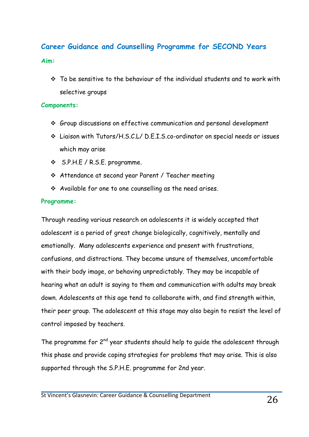# **Career Guidance and Counselling Programme for SECOND Years**

#### **Aim:**

 $\cdot$  To be sensitive to the behaviour of the individual students and to work with selective groups

#### **Components:**

- v Group discussions on effective communication and personal development
- v Liaison with Tutors/H.S.C.L/ D.E.I.S.co-ordinator on special needs or issues which may arise
- v S.P.H.E / R.S.E. programme.
- v Attendance at second year Parent / Teacher meeting
- $\cdot$  Available for one to one counselling as the need arises.

#### **Programme:**

Through reading various research on adolescents it is widely accepted that adolescent is a period of great change biologically, cognitively, mentally and emotionally. Many adolescents experience and present with frustrations, confusions, and distractions. They become unsure of themselves, uncomfortable with their body image, or behaving unpredictably. They may be incapable of hearing what an adult is saying to them and communication with adults may break down. Adolescents at this age tend to collaborate with, and find strength within, their peer group. The adolescent at this stage may also begin to resist the level of control imposed by teachers.

The programme for  $2^{nd}$  year students should help to guide the adolescent through this phase and provide coping strategies for problems that may arise. This is also supported through the S.P.H.E. programme for 2nd year.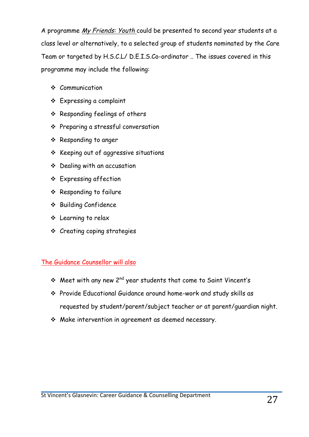A programme My Friends: Youth could be presented to second year students at a class level or alternatively, to a selected group of students nominated by the Care Team or targeted by H.S.C.L/ D.E.I.S.Co-ordinator .. The issues covered in this programme may include the following:

- $\div$  Communication
- v Expressing a complaint
- $\div$  Responding feelings of others
- v Preparing a stressful conversation
- v Responding to anger
- $\div$  Keeping out of aggressive situations
- $\div$  Dealing with an accusation
- v Expressing affection
- v Responding to failure
- v Building Confidence
- v Learning to relax
- $\div$  Creating coping strategies

## The Guidance Counsellor will also

- $\cdot$  Meet with any new 2<sup>nd</sup> year students that come to Saint Vincent's
- v Provide Educational Guidance around home-work and study skills as requested by student/parent/subject teacher or at parent/guardian night.
- $\cdot$  Make intervention in agreement as deemed necessary.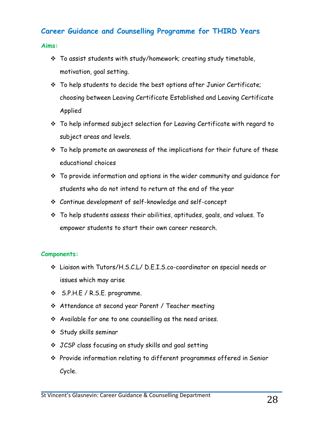# **Career Guidance and Counselling Programme for THIRD Years**

#### **Aims:**

- $\cdot$  To assist students with study/homework; creating study timetable, motivation, goal setting.
- $\cdot$  To help students to decide the best options after Junior Certificate; choosing between Leaving Certificate Established and Leaving Certificate Applied
- $\cdot$  To help informed subject selection for Leaving Certificate with regard to subject areas and levels.
- $\cdot$  To help promote an awareness of the implications for their future of these educational choices
- $\cdot$  To provide information and options in the wider community and quidance for students who do not intend to return at the end of the year
- v Continue development of self-knowledge and self-concept
- $\cdot$  To help students assess their abilities, aptitudes, goals, and values. To empower students to start their own career research.

#### **Components:**

- v Liaison with Tutors/H.S.C.L/ D.E.I.S.co-coordinator on special needs or issues which may arise
- v S.P.H.E / R.S.E. programme.
- v Attendance at second year Parent / Teacher meeting
- $\cdot$  Available for one to one counselling as the need arises.
- v Study skills seminar
- v JCSP class focusing on study skills and goal setting
- v Provide information relating to different programmes offered in Senior Cycle.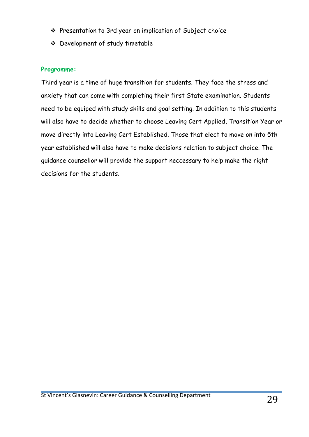- \* Presentation to 3rd year on implication of Subject choice
- v Development of study timetable

### **Programme:**

Third year is a time of huge transition for students. They face the stress and anxiety that can come with completing their first State examination. Students need to be equiped with study skills and goal setting. In addition to this students will also have to decide whether to choose Leaving Cert Applied, Transition Year or move directly into Leaving Cert Established. Those that elect to move on into 5th year established will also have to make decisions relation to subject choice. The guidance counsellor will provide the support neccessary to help make the right decisions for the students.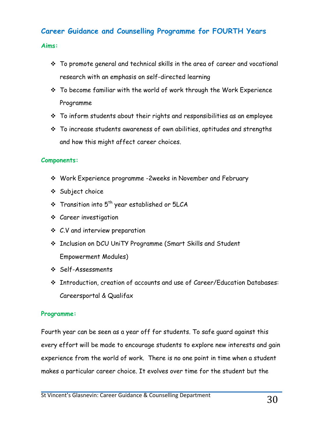# **Career Guidance and Counselling Programme for FOURTH Years**

#### **Aims:**

- $\cdot$  To promote general and technical skills in the area of career and vocational research with an emphasis on self-directed learning
- $\cdot$  To become familiar with the world of work through the Work Experience Programme
- $\cdot$  To inform students about their rights and responsibilities as an employee
- $\cdot$  To increase students awareness of own abilities, aptitudes and strengths and how this might affect career choices.

#### **Components:**

- v Work Experience programme -2weeks in November and February
- v Subject choice
- $\cdot$  Transition into  $5^{th}$  year established or 5LCA
- v Career investigation
- $\div$  C.V and interview preparation
- v Inclusion on DCU UniTY Programme (Smart Skills and Student Empowerment Modules)
- v Self-Assessments
- \* Introduction, creation of accounts and use of Career/Education Databases: Careersportal & Qualifax

#### **Programme:**

Fourth year can be seen as a year off for students. To safe guard against this every effort will be made to encourage students to explore new interests and gain experience from the world of work. There is no one point in time when a student makes a particular career choice. It evolves over time for the student but the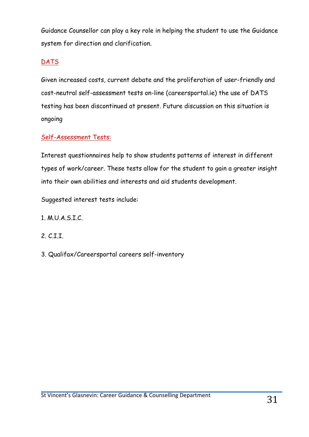Guidance Counsellor can play a key role in helping the student to use the Guidance system for direction and clarification.

## DATS

Given increased costs, current debate and the proliferation of user-friendly and cost-neutral self-assessment tests on-line (careersportal.ie) the use of DATS testing has been discontinued at present. Future discussion on this situation is ongoing

## Self-Assessment Tests:

Interest questionnaires help to show students patterns of interest in different types of work/career. These tests allow for the student to gain a greater insight into their own abilities and interests and aid students development.

Suggested interest tests include:

- 1. M.U.A.S.I.C.
- 2. C.I.I.
- 3. Qualifax/Careersportal careers self-inventory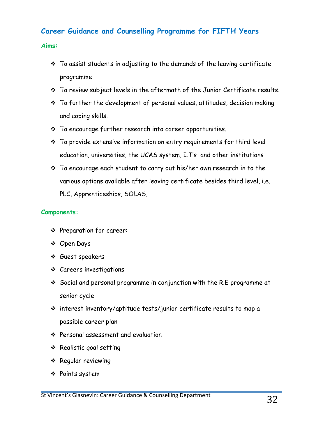# **Career Guidance and Counselling Programme for FIFTH Years**

#### **Aims:**

- $\cdot$  To assist students in adjusting to the demands of the leaving certificate programme
- $\cdot$  To review subject levels in the aftermath of the Junior Certificate results.
- $\cdot$  To further the development of personal values, attitudes, decision making and coping skills.
- $\cdot$  To encourage further research into career opportunities.
- $\cdot$  To provide extensive information on entry requirements for third level education, universities, the UCAS system, I.T's and other institutions
- $\cdot$  To encourage each student to carry out his/her own research in to the various options available after leaving certificate besides third level, i.e. PLC, Apprenticeships, SOLAS,

#### **Components:**

- v Preparation for career:
- v Open Days
- v Guest speakers
- $\div$  Careers investigations
- $\cdot$  Social and personal programme in conjunction with the R.E programme at senior cycle
- $\cdot$  interest inventory/aptitude tests/junior certificate results to map a possible career plan
- $\div$  Personal assessment and evaluation
- v Realistic goal setting
- \* Regular reviewing
- v Points system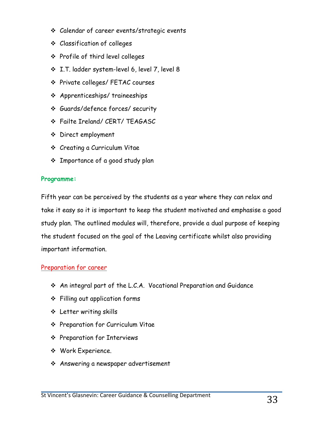- v Calendar of career events/strategic events
- v Classification of colleges
- v Profile of third level colleges
- v I.T. ladder system-level 6, level 7, level 8
- v Private colleges/ FETAC courses
- v Apprenticeships/ traineeships
- v Guards/defence forces/ security
- v Failte Ireland/ CERT/ TEAGASC
- v Direct employment
- v Creating a Curriculum Vitae
- v Importance of a good study plan

## **Programme:**

Fifth year can be perceived by the students as a year where they can relax and take it easy so it is important to keep the student motivated and emphasise a good study plan. The outlined modules will, therefore, provide a dual purpose of keeping the student focused on the goal of the Leaving certificate whilst also providing important information.

## Preparation for career

- $\cdot$  An integral part of the L.C.A. Vocational Preparation and Guidance
- $\div$  Filling out application forms
- v Letter writing skills
- ◆ Preparation for Curriculum Vitae
- v Preparation for Interviews
- \* Work Experience.
- **↓** Answering a newspaper advertisement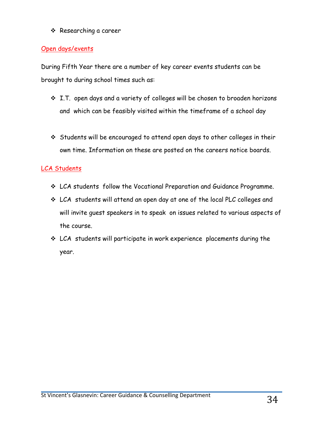#### v Researching a career

### Open days/events

During Fifth Year there are a number of key career events students can be brought to during school times such as:

- $\cdot$  I.T. open days and a variety of colleges will be chosen to broaden horizons and which can be feasibly visited within the timeframe of a school day
- \* Students will be encouraged to attend open days to other colleges in their own time. Information on these are posted on the careers notice boards.

## LCA Students

- \* LCA students follow the Vocational Preparation and Guidance Programme.
- \* LCA students will attend an open day at one of the local PLC colleges and will invite guest speakers in to speak on issues related to various aspects of the course.
- $\cdot$  LCA students will participate in work experience placements during the year.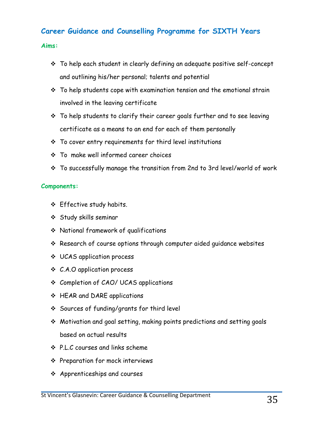# **Career Guidance and Counselling Programme for SIXTH Years**

#### **Aims:**

- \* To help each student in clearly defining an adequate positive self-concept and outlining his/her personal; talents and potential
- $\cdot \cdot$  To help students cope with examination tension and the emotional strain involved in the leaving certificate
- $\cdot$  To help students to clarify their career goals further and to see leaving certificate as a means to an end for each of them personally
- $\cdot \cdot$  To cover entry requirements for third level institutions
- $\div$  To make well informed career choices
- \* To successfully manage the transition from 2nd to 3rd level/world of work

#### **Components:**

- v Effective study habits.
- v Study skills seminar
- v National framework of qualifications
- \* Research of course options through computer aided guidance websites
- v UCAS application process
- v C.A.O application process
- v Completion of CAO/ UCAS applications
- v HEAR and DARE applications
- v Sources of funding/grants for third level
- $\cdot$  Motivation and goal setting, making points predictions and setting goals based on actual results
- v P.L.C courses and links scheme
- v Preparation for mock interviews
- $\div$  Apprenticeships and courses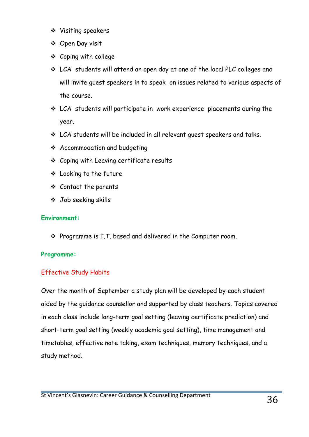- ❖ Visiting speakers
- ❖ Open Day visit
- $\div$  Coping with college
- \* LCA students will attend an open day at one of the local PLC colleges and will invite guest speakers in to speak on issues related to various aspects of the course.
- $\cdot$  LCA students will participate in work experience placements during the year.
- $\cdot$  LCA students will be included in all relevant quest speakers and talks.
- $\div$  Accommodation and budgeting
- $\div$  Coping with Leaving certificate results
- $\div$  Looking to the future
- $\div$  Contact the parents
- v Job seeking skills

#### **Environment:**

 $\div$  Programme is I.T. based and delivered in the Computer room.

#### **Programme:**

## Effective Study Habits

Over the month of September a study plan will be developed by each student aided by the guidance counsellor and supported by class teachers. Topics covered in each class include long-term goal setting (leaving certificate prediction) and short-term goal setting (weekly academic goal setting), time management and timetables, effective note taking, exam techniques, memory techniques, and a study method.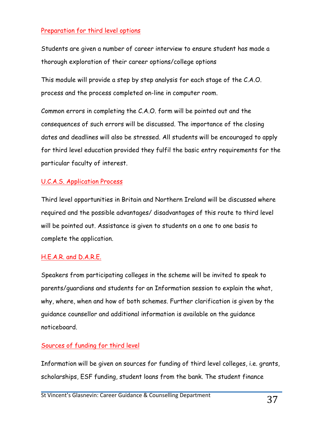## Preparation for third level options

Students are given a number of career interview to ensure student has made a thorough exploration of their career options/college options

This module will provide a step by step analysis for each stage of the C.A.O. process and the process completed on-line in computer room.

Common errors in completing the C.A.O. form will be pointed out and the consequences of such errors will be discussed. The importance of the closing dates and deadlines will also be stressed. All students will be encouraged to apply for third level education provided they fulfil the basic entry requirements for the particular faculty of interest.

## U.C.A.S. Application Process

Third level opportunities in Britain and Northern Ireland will be discussed where required and the possible advantages/ disadvantages of this route to third level will be pointed out. Assistance is given to students on a one to one basis to complete the application.

## H.E.A.R. and D.A.R.E.

Speakers from participating colleges in the scheme will be invited to speak to parents/guardians and students for an Information session to explain the what, why, where, when and how of both schemes. Further clarification is given by the guidance counsellor and additional information is available on the guidance noticeboard.

## Sources of funding for third level

Information will be given on sources for funding of third level colleges, i.e. grants, scholarships, ESF funding, student loans from the bank. The student finance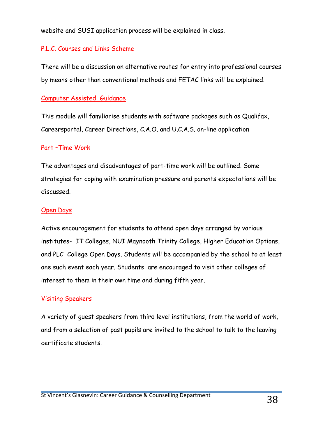website and SUSI application process will be explained in class.

## P.L.C. Courses and Links Scheme

There will be a discussion on alternative routes for entry into professional courses by means other than conventional methods and FETAC links will be explained.

## Computer Assisted Guidance

This module will familiarise students with software packages such as Qualifax, Careersportal, Career Directions, C.A.O. and U.C.A.S. on-line application

## Part –Time Work

The advantages and disadvantages of part-time work will be outlined. Some strategies for coping with examination pressure and parents expectations will be discussed.

#### Open Days

Active encouragement for students to attend open days arranged by various institutes- IT Colleges, NUI Maynooth Trinity College, Higher Education Options, and PLC College Open Days. Students will be accompanied by the school to at least one such event each year. Students are encouraged to visit other colleges of interest to them in their own time and during fifth year.

## Visiting Speakers

A variety of guest speakers from third level institutions, from the world of work, and from a selection of past pupils are invited to the school to talk to the leaving certificate students.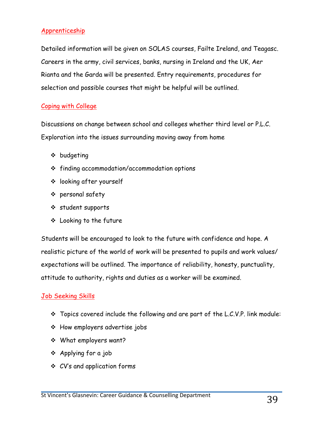## Apprenticeship

Detailed information will be given on SOLAS courses, Failte Ireland, and Teagasc. Careers in the army, civil services, banks, nursing in Ireland and the UK, Aer Rianta and the Garda will be presented. Entry requirements, procedures for selection and possible courses that might be helpful will be outlined.

## Coping with College

Discussions on change between school and colleges whether third level or P.L.C. Exploration into the issues surrounding moving away from home

- $\div$  budgeting
- $\div$  finding accommodation/accommodation options
- v looking after yourself
- v personal safety
- v student supports
- v Looking to the future

Students will be encouraged to look to the future with confidence and hope. A realistic picture of the world of work will be presented to pupils and work values/ expectations will be outlined. The importance of reliability, honesty, punctuality, attitude to authority, rights and duties as a worker will be examined.

#### Job Seeking Skills

- $\cdot$  Topics covered include the following and are part of the L.C.V.P. link module:
- $\div$  How employers advertise jobs
- \* What employers want?
- v Applying for a job
- v CV's and application forms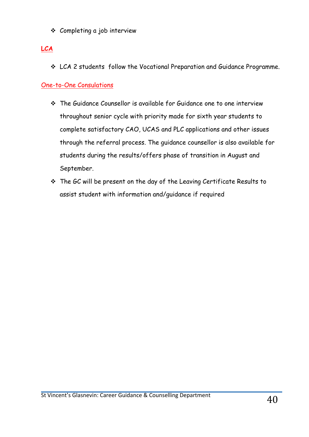v Completing a job interview

# **LCA**

v LCA 2 students follow the Vocational Preparation and Guidance Programme.

## One-to-One Consulations

- The Guidance Counsellor is available for Guidance one to one interview throughout senior cycle with priority made for sixth year students to complete satisfactory CAO, UCAS and PLC applications and other issues through the referral process. The guidance counsellor is also available for students during the results/offers phase of transition in August and September.
- \* The GC will be present on the day of the Leaving Certificate Results to assist student with information and/guidance if required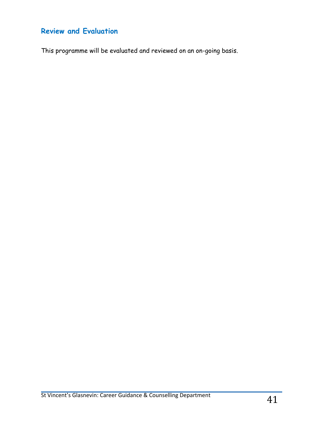# **Review and Evaluation**

This programme will be evaluated and reviewed on an on-going basis.